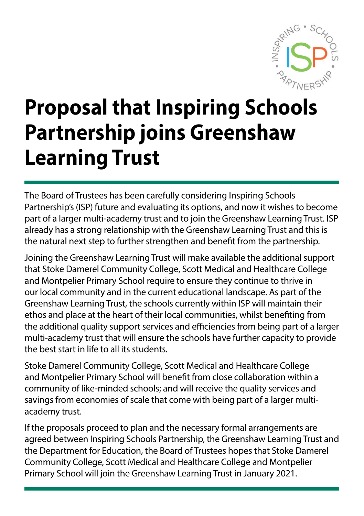

# **Proposal that Inspiring Schools Partnership joins Greenshaw Learning Trust**

The Board of Trustees has been carefully considering Inspiring Schools Partnership's (ISP) future and evaluating its options, and now it wishes to become part of a larger multi-academy trust and to join the Greenshaw Learning Trust. ISP already has a strong relationship with the Greenshaw Learning Trust and this is the natural next step to further strengthen and benefit from the partnership.

Joining the Greenshaw Learning Trust will make available the additional support that Stoke Damerel Community College, Scott Medical and Healthcare College and Montpelier Primary School require to ensure they continue to thrive in our local community and in the current educational landscape. As part of the Greenshaw Learning Trust, the schools currently within ISP will maintain their ethos and place at the heart of their local communities, whilst benefiting from the additional quality support services and efficiencies from being part of a larger multi-academy trust that will ensure the schools have further capacity to provide the best start in life to all its students.

Stoke Damerel Community College, Scott Medical and Healthcare College and Montpelier Primary School will benefit from close collaboration within a community of like-minded schools; and will receive the quality services and savings from economies of scale that come with being part of a larger multiacademy trust.

If the proposals proceed to plan and the necessary formal arrangements are agreed between Inspiring Schools Partnership, the Greenshaw Learning Trust and the Department for Education, the Board of Trustees hopes that Stoke Damerel Community College, Scott Medical and Healthcare College and Montpelier Primary School will join the Greenshaw Learning Trust in January 2021.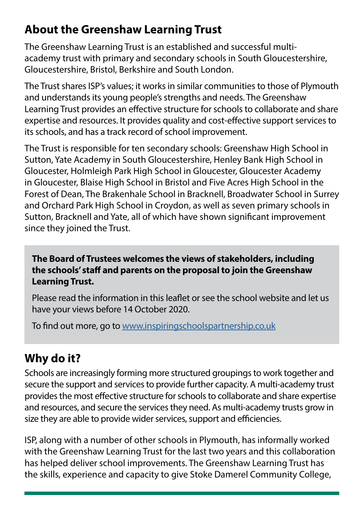# **About the Greenshaw Learning Trust**

The Greenshaw Learning Trust is an established and successful multiacademy trust with primary and secondary schools in South Gloucestershire, Gloucestershire, Bristol, Berkshire and South London.

The Trust shares ISP's values; it works in similar communities to those of Plymouth and understands its young people's strengths and needs. The Greenshaw Learning Trust provides an effective structure for schools to collaborate and share expertise and resources. It provides quality and cost-effective support services to its schools, and has a track record of school improvement.

The Trust is responsible for ten secondary schools: Greenshaw High School in Sutton, Yate Academy in South Gloucestershire, Henley Bank High School in Gloucester, Holmleigh Park High School in Gloucester, Gloucester Academy in Gloucester, Blaise High School in Bristol and Five Acres High School in the Forest of Dean, The Brakenhale School in Bracknell, Broadwater School in Surrey and Orchard Park High School in Croydon, as well as seven primary schools in Sutton, Bracknell and Yate, all of which have shown significant improvement since they joined the Trust.

**The Board of Trustees welcomes the views of stakeholders, including the schools' staff and parents on the proposal to join the Greenshaw Learning Trust.** 

Please read the information in this leaflet or see the school website and let us have your views before 14 October 2020.

To find out more, go to<www.inspiringschoolspartnership.co.uk>

## **Why do it?**

Schools are increasingly forming more structured groupings to work together and secure the support and services to provide further capacity. A multi-academy trust provides the most effective structure for schools to collaborate and share expertise and resources, and secure the services they need. As multi-academy trusts grow in size they are able to provide wider services, support and efficiencies.

ISP, along with a number of other schools in Plymouth, has informally worked with the Greenshaw Learning Trust for the last two years and this collaboration has helped deliver school improvements. The Greenshaw Learning Trust has the skills, experience and capacity to give Stoke Damerel Community College,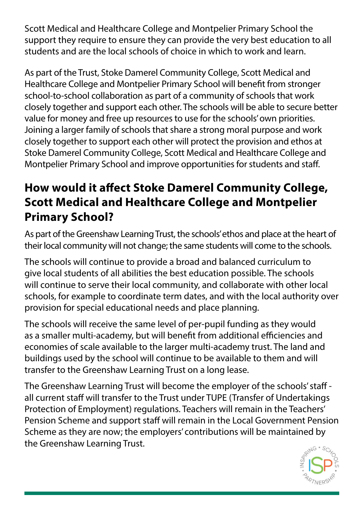Scott Medical and Healthcare College and Montpelier Primary School the support they require to ensure they can provide the very best education to all students and are the local schools of choice in which to work and learn.

As part of the Trust, Stoke Damerel Community College, Scott Medical and Healthcare College and Montpelier Primary School will benefit from stronger school-to-school collaboration as part of a community of schools that work closely together and support each other. The schools will be able to secure better value for money and free up resources to use for the schools' own priorities. Joining a larger family of schools that share a strong moral purpose and work closely together to support each other will protect the provision and ethos at Stoke Damerel Community College, Scott Medical and Healthcare College and Montpelier Primary School and improve opportunities for students and staff.

# **How would it affect Stoke Damerel Community College, Scott Medical and Healthcare College and Montpelier Primary School?**

As part of the Greenshaw Learning Trust, the schools' ethos and place at the heart of their local community will not change; the same students will come to the schools.

The schools will continue to provide a broad and balanced curriculum to give local students of all abilities the best education possible. The schools will continue to serve their local community, and collaborate with other local schools, for example to coordinate term dates, and with the local authority over provision for special educational needs and place planning.

The schools will receive the same level of per-pupil funding as they would as a smaller multi-academy, but will benefit from additional efficiencies and economies of scale available to the larger multi-academy trust. The land and buildings used by the school will continue to be available to them and will transfer to the Greenshaw Learning Trust on a long lease.

The Greenshaw Learning Trust will become the employer of the schools' staff all current staff will transfer to the Trust under TUPE (Transfer of Undertakings Protection of Employment) regulations. Teachers will remain in the Teachers' Pension Scheme and support staff will remain in the Local Government Pension Scheme as they are now; the employers' contributions will be maintained by the Greenshaw Learning Trust.